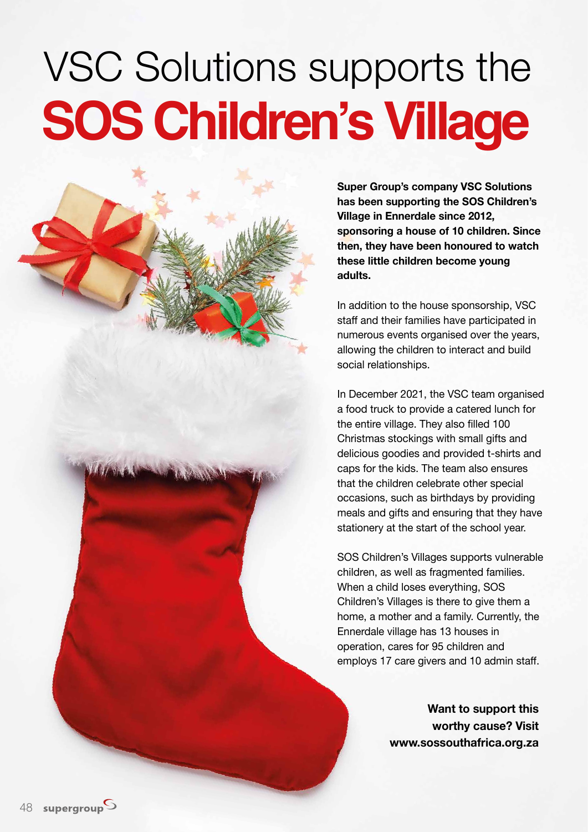## VSC Solutions supports the **SOS Children's Village**

**Super Group's company VSC Solutions has been supporting the SOS Children's Village in Ennerdale since 2012, sponsoring a house of 10 children. Since then, they have been honoured to watch these little children become young adults.** 

In addition to the house sponsorship, VSC staff and their families have participated in numerous events organised over the years, allowing the children to interact and build social relationships.

In December 2021, the VSC team organised a food truck to provide a catered lunch for the entire village. They also filled 100 Christmas stockings with small gifts and delicious goodies and provided t-shirts and caps for the kids. The team also ensures that the children celebrate other special occasions, such as birthdays by providing meals and gifts and ensuring that they have stationery at the start of the school year.

SOS Children's Villages supports vulnerable children, as well as fragmented families. When a child loses everything, SOS Children's Villages is there to give them a home, a mother and a family. Currently, the Ennerdale village has 13 houses in operation, cares for 95 children and employs 17 care givers and 10 admin staff.

> **Want to support this worthy cause? Visit www.sossouthafrica.org.za**